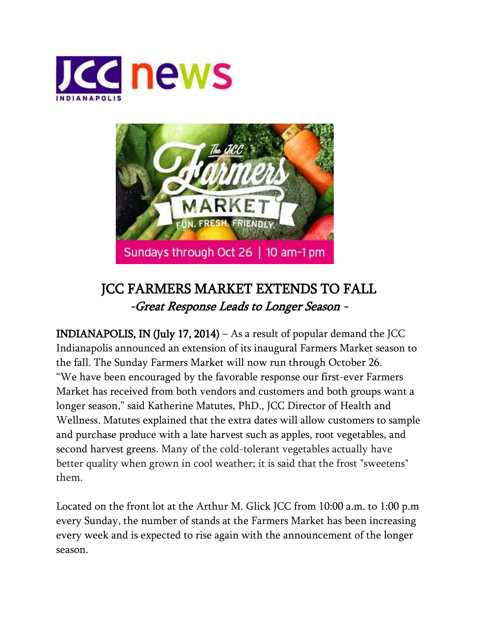



## JCC FARMERS MARKET EXTENDS TO FALL -Great Response Leads to Longer Season -

INDIANAPOLIS, IN (July 17, 2014) – As a result of popular demand the JCC Indianapolis announced an extension of its inaugural Farmers Market season to the fall. The Sunday Farmers Market will now run through October 26. "We have been encouraged by the favorable response our first-ever Farmers Market has received from both vendors and customers and both groups want a longer season," said Katherine Matutes, PhD., JCC Director of Health and Wellness. Matutes explained that the extra dates will allow customers to sample and purchase produce with a late harvest such as apples, root vegetables, and second harvest greens. Many of the cold-tolerant vegetables actually have better quality when grown in cool weather; it is said that the frost "sweetens" them.

Located on the front lot at the Arthur M. Glick JCC from 10:00 a.m. to 1:00 p.m every Sunday, the number of stands at the Farmers Market has been increasing every week and is expected to rise again with the announcement of the longer season.